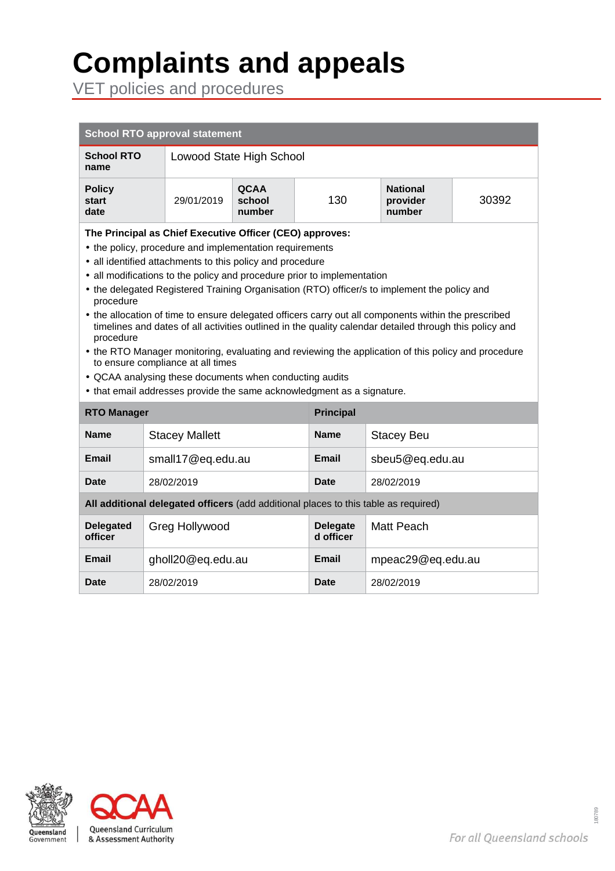# **Complaints and appeals**

VET policies and procedures

| <b>School RTO approval statement</b>                                                                                                                                                                                                                                                                                                                                                                                                                                                                                                                                                                                                                                                                                                                                                                                                                                                      |  |                          |                                 |                              |                                       |       |
|-------------------------------------------------------------------------------------------------------------------------------------------------------------------------------------------------------------------------------------------------------------------------------------------------------------------------------------------------------------------------------------------------------------------------------------------------------------------------------------------------------------------------------------------------------------------------------------------------------------------------------------------------------------------------------------------------------------------------------------------------------------------------------------------------------------------------------------------------------------------------------------------|--|--------------------------|---------------------------------|------------------------------|---------------------------------------|-------|
| <b>School RTO</b><br>name                                                                                                                                                                                                                                                                                                                                                                                                                                                                                                                                                                                                                                                                                                                                                                                                                                                                 |  | Lowood State High School |                                 |                              |                                       |       |
| <b>Policy</b><br><b>start</b><br>date                                                                                                                                                                                                                                                                                                                                                                                                                                                                                                                                                                                                                                                                                                                                                                                                                                                     |  | 29/01/2019               | <b>QCAA</b><br>school<br>number | 130                          | <b>National</b><br>provider<br>number | 30392 |
| The Principal as Chief Executive Officer (CEO) approves:<br>• the policy, procedure and implementation requirements<br>• all identified attachments to this policy and procedure<br>• all modifications to the policy and procedure prior to implementation<br>• the delegated Registered Training Organisation (RTO) officer/s to implement the policy and<br>procedure<br>• the allocation of time to ensure delegated officers carry out all components within the prescribed<br>timelines and dates of all activities outlined in the quality calendar detailed through this policy and<br>procedure<br>• the RTO Manager monitoring, evaluating and reviewing the application of this policy and procedure<br>to ensure compliance at all times<br>• QCAA analysing these documents when conducting audits<br>• that email addresses provide the same acknowledgment as a signature. |  |                          |                                 |                              |                                       |       |
| <b>RTO Manager</b>                                                                                                                                                                                                                                                                                                                                                                                                                                                                                                                                                                                                                                                                                                                                                                                                                                                                        |  | <b>Principal</b>         |                                 |                              |                                       |       |
| <b>Name</b>                                                                                                                                                                                                                                                                                                                                                                                                                                                                                                                                                                                                                                                                                                                                                                                                                                                                               |  | <b>Stacey Mallett</b>    |                                 | <b>Name</b>                  | <b>Stacey Beu</b>                     |       |
| Email                                                                                                                                                                                                                                                                                                                                                                                                                                                                                                                                                                                                                                                                                                                                                                                                                                                                                     |  | small17@eq.edu.au        |                                 | Email                        | sbeu5@eq.edu.au                       |       |
| <b>Date</b>                                                                                                                                                                                                                                                                                                                                                                                                                                                                                                                                                                                                                                                                                                                                                                                                                                                                               |  | 28/02/2019               |                                 | <b>Date</b>                  | 28/02/2019                            |       |
| All additional delegated officers (add additional places to this table as required)                                                                                                                                                                                                                                                                                                                                                                                                                                                                                                                                                                                                                                                                                                                                                                                                       |  |                          |                                 |                              |                                       |       |
| <b>Delegated</b><br>officer                                                                                                                                                                                                                                                                                                                                                                                                                                                                                                                                                                                                                                                                                                                                                                                                                                                               |  | Greg Hollywood           |                                 | <b>Delegate</b><br>d officer | Matt Peach                            |       |
| <b>Email</b>                                                                                                                                                                                                                                                                                                                                                                                                                                                                                                                                                                                                                                                                                                                                                                                                                                                                              |  | gholl20@eq.edu.au        |                                 | Email                        | mpeac29@eq.edu.au                     |       |
| Date                                                                                                                                                                                                                                                                                                                                                                                                                                                                                                                                                                                                                                                                                                                                                                                                                                                                                      |  | 28/02/2019               |                                 | Date                         | 28/02/2019                            |       |



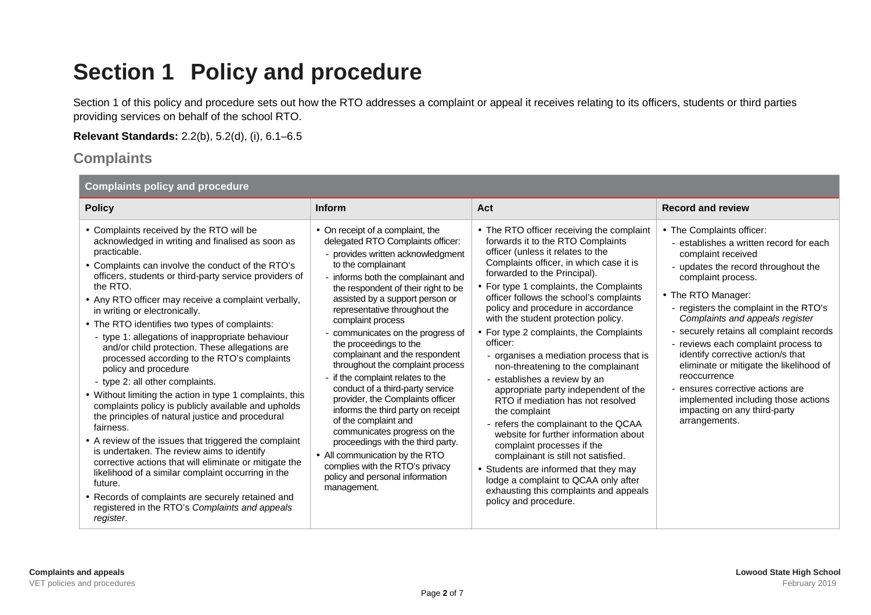### **Section 1 Policy and procedure**

Section 1 of this policy and procedure sets out how the RTO addresses a complaint or appeal it receives relating to its officers, students or third parties providing services on behalf of the school RTO.

**Relevant Standards:** 2.2(b), 5.2(d), (i), 6.1–6.5

#### **Complaints**

| <b>Complaints policy and procedure</b>                                                                                                                                                                                                                                                                                                                                                                                                                                                                                                                                                                                                                                                                                                                                                                                                                                                                                                                                                                                                                                                                                                     |                                                                                                                                                                                                                                                                                                                                                                                                                                                                                                                                                                                                                                                                                                                                                                                                                    |                                                                                                                                                                                                                                                                                                                                                                                                                                                                                                                                                                                                                                                                                                                                                                                                                                                                                                                                                   |                                                                                                                                                                                                                                                                                                                                                                                                                                                                                                                                                                           |  |
|--------------------------------------------------------------------------------------------------------------------------------------------------------------------------------------------------------------------------------------------------------------------------------------------------------------------------------------------------------------------------------------------------------------------------------------------------------------------------------------------------------------------------------------------------------------------------------------------------------------------------------------------------------------------------------------------------------------------------------------------------------------------------------------------------------------------------------------------------------------------------------------------------------------------------------------------------------------------------------------------------------------------------------------------------------------------------------------------------------------------------------------------|--------------------------------------------------------------------------------------------------------------------------------------------------------------------------------------------------------------------------------------------------------------------------------------------------------------------------------------------------------------------------------------------------------------------------------------------------------------------------------------------------------------------------------------------------------------------------------------------------------------------------------------------------------------------------------------------------------------------------------------------------------------------------------------------------------------------|---------------------------------------------------------------------------------------------------------------------------------------------------------------------------------------------------------------------------------------------------------------------------------------------------------------------------------------------------------------------------------------------------------------------------------------------------------------------------------------------------------------------------------------------------------------------------------------------------------------------------------------------------------------------------------------------------------------------------------------------------------------------------------------------------------------------------------------------------------------------------------------------------------------------------------------------------|---------------------------------------------------------------------------------------------------------------------------------------------------------------------------------------------------------------------------------------------------------------------------------------------------------------------------------------------------------------------------------------------------------------------------------------------------------------------------------------------------------------------------------------------------------------------------|--|
| <b>Policy</b>                                                                                                                                                                                                                                                                                                                                                                                                                                                                                                                                                                                                                                                                                                                                                                                                                                                                                                                                                                                                                                                                                                                              | Inform                                                                                                                                                                                                                                                                                                                                                                                                                                                                                                                                                                                                                                                                                                                                                                                                             | Act                                                                                                                                                                                                                                                                                                                                                                                                                                                                                                                                                                                                                                                                                                                                                                                                                                                                                                                                               | <b>Record and review</b>                                                                                                                                                                                                                                                                                                                                                                                                                                                                                                                                                  |  |
| • Complaints received by the RTO will be<br>acknowledged in writing and finalised as soon as<br>practicable.<br>• Complaints can involve the conduct of the RTO's<br>officers, students or third-party service providers of<br>the RTO.<br>• Any RTO officer may receive a complaint verbally,<br>in writing or electronically.<br>• The RTO identifies two types of complaints:<br>- type 1: allegations of inappropriate behaviour<br>and/or child protection. These allegations are<br>processed according to the RTO's complaints<br>policy and procedure<br>- type 2: all other complaints.<br>• Without limiting the action in type 1 complaints, this<br>complaints policy is publicly available and upholds<br>the principles of natural justice and procedural<br>fairness.<br>• A review of the issues that triggered the complaint<br>is undertaken. The review aims to identify<br>corrective actions that will eliminate or mitigate the<br>likelihood of a similar complaint occurring in the<br>future.<br>• Records of complaints are securely retained and<br>registered in the RTO's Complaints and appeals<br>register. | • On receipt of a complaint, the<br>delegated RTO Complaints officer:<br>- provides written acknowledgment<br>to the complainant<br>- informs both the complainant and<br>the respondent of their right to be<br>assisted by a support person or<br>representative throughout the<br>complaint process<br>- communicates on the progress of<br>the proceedings to the<br>complainant and the respondent<br>throughout the complaint process<br>- if the complaint relates to the<br>conduct of a third-party service<br>provider, the Complaints officer<br>informs the third party on receipt<br>of the complaint and<br>communicates progress on the<br>proceedings with the third party.<br>• All communication by the RTO<br>complies with the RTO's privacy<br>policy and personal information<br>management. | • The RTO officer receiving the complaint<br>forwards it to the RTO Complaints<br>officer (unless it relates to the<br>Complaints officer, in which case it is<br>forwarded to the Principal).<br>• For type 1 complaints, the Complaints<br>officer follows the school's complaints<br>policy and procedure in accordance<br>with the student protection policy.<br>• For type 2 complaints, the Complaints<br>officer:<br>- organises a mediation process that is<br>non-threatening to the complainant<br>- establishes a review by an<br>appropriate party independent of the<br>RTO if mediation has not resolved<br>the complaint<br>- refers the complainant to the QCAA<br>website for further information about<br>complaint processes if the<br>complainant is still not satisfied.<br>• Students are informed that they may<br>lodge a complaint to QCAA only after<br>exhausting this complaints and appeals<br>policy and procedure. | • The Complaints officer:<br>- establishes a written record for each<br>complaint received<br>- updates the record throughout the<br>complaint process.<br>• The RTO Manager:<br>- registers the complaint in the RTO's<br>Complaints and appeals register<br>- securely retains all complaint records<br>- reviews each complaint process to<br>identify corrective action/s that<br>eliminate or mitigate the likelihood of<br>reoccurrence<br>- ensures corrective actions are<br>implemented including those actions<br>impacting on any third-party<br>arrangements. |  |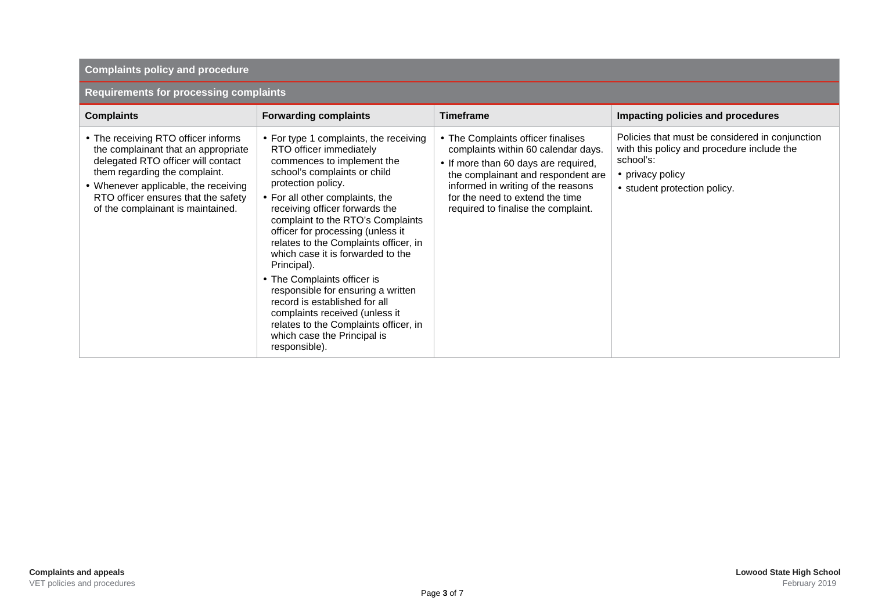#### **Complaints policy and procedure**

#### **Requirements for processing complaints**

| <b>Complaints</b>                                                                                                                                                                                                                                                     | <b>Forwarding complaints</b>                                                                                                                                                                                                                                                                                                                                                                                                                                                                                                                                                                                                       | <b>Timeframe</b>                                                                                                                                                                                                                                                        | Impacting policies and procedures                                                                                                                              |
|-----------------------------------------------------------------------------------------------------------------------------------------------------------------------------------------------------------------------------------------------------------------------|------------------------------------------------------------------------------------------------------------------------------------------------------------------------------------------------------------------------------------------------------------------------------------------------------------------------------------------------------------------------------------------------------------------------------------------------------------------------------------------------------------------------------------------------------------------------------------------------------------------------------------|-------------------------------------------------------------------------------------------------------------------------------------------------------------------------------------------------------------------------------------------------------------------------|----------------------------------------------------------------------------------------------------------------------------------------------------------------|
| • The receiving RTO officer informs<br>the complainant that an appropriate<br>delegated RTO officer will contact<br>them regarding the complaint.<br>• Whenever applicable, the receiving<br>RTO officer ensures that the safety<br>of the complainant is maintained. | • For type 1 complaints, the receiving<br>RTO officer immediately<br>commences to implement the<br>school's complaints or child<br>protection policy.<br>• For all other complaints, the<br>receiving officer forwards the<br>complaint to the RTO's Complaints<br>officer for processing (unless it<br>relates to the Complaints officer, in<br>which case it is forwarded to the<br>Principal).<br>• The Complaints officer is<br>responsible for ensuring a written<br>record is established for all<br>complaints received (unless it<br>relates to the Complaints officer, in<br>which case the Principal is<br>responsible). | • The Complaints officer finalises<br>complaints within 60 calendar days.<br>• If more than 60 days are required,<br>the complainant and respondent are<br>informed in writing of the reasons<br>for the need to extend the time<br>required to finalise the complaint. | Policies that must be considered in conjunction<br>with this policy and procedure include the<br>school's:<br>• privacy policy<br>• student protection policy. |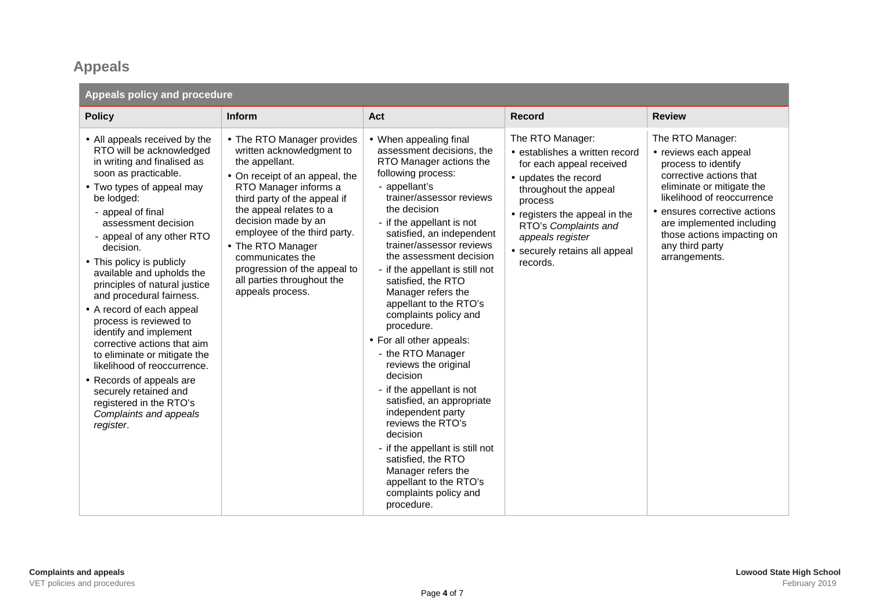### **Appeals**

| Appeals policy and procedure                                                                                                                                                                                                                                                                                                                                                                                                                                                                                                                                                                                                                                                   |                                                                                                                                                                                                                                                                                                                                                                                   |                                                                                                                                                                                                                                                                                                                                                                                                                                                                                                                                                                                                                                                                                                                                                                                         |                                                                                                                                                                                                                                                                      |                                                                                                                                                                                                                                                                                       |
|--------------------------------------------------------------------------------------------------------------------------------------------------------------------------------------------------------------------------------------------------------------------------------------------------------------------------------------------------------------------------------------------------------------------------------------------------------------------------------------------------------------------------------------------------------------------------------------------------------------------------------------------------------------------------------|-----------------------------------------------------------------------------------------------------------------------------------------------------------------------------------------------------------------------------------------------------------------------------------------------------------------------------------------------------------------------------------|-----------------------------------------------------------------------------------------------------------------------------------------------------------------------------------------------------------------------------------------------------------------------------------------------------------------------------------------------------------------------------------------------------------------------------------------------------------------------------------------------------------------------------------------------------------------------------------------------------------------------------------------------------------------------------------------------------------------------------------------------------------------------------------------|----------------------------------------------------------------------------------------------------------------------------------------------------------------------------------------------------------------------------------------------------------------------|---------------------------------------------------------------------------------------------------------------------------------------------------------------------------------------------------------------------------------------------------------------------------------------|
| <b>Policy</b>                                                                                                                                                                                                                                                                                                                                                                                                                                                                                                                                                                                                                                                                  | <b>Inform</b>                                                                                                                                                                                                                                                                                                                                                                     | Act                                                                                                                                                                                                                                                                                                                                                                                                                                                                                                                                                                                                                                                                                                                                                                                     | <b>Record</b>                                                                                                                                                                                                                                                        | <b>Review</b>                                                                                                                                                                                                                                                                         |
| • All appeals received by the<br>RTO will be acknowledged<br>in writing and finalised as<br>soon as practicable.<br>• Two types of appeal may<br>be lodged:<br>- appeal of final<br>assessment decision<br>- appeal of any other RTO<br>decision.<br>• This policy is publicly<br>available and upholds the<br>principles of natural justice<br>and procedural fairness.<br>• A record of each appeal<br>process is reviewed to<br>identify and implement<br>corrective actions that aim<br>to eliminate or mitigate the<br>likelihood of reoccurrence.<br>• Records of appeals are<br>securely retained and<br>registered in the RTO's<br>Complaints and appeals<br>register. | • The RTO Manager provides<br>written acknowledgment to<br>the appellant.<br>• On receipt of an appeal, the<br>RTO Manager informs a<br>third party of the appeal if<br>the appeal relates to a<br>decision made by an<br>employee of the third party.<br>• The RTO Manager<br>communicates the<br>progression of the appeal to<br>all parties throughout the<br>appeals process. | • When appealing final<br>assessment decisions, the<br>RTO Manager actions the<br>following process:<br>- appellant's<br>trainer/assessor reviews<br>the decision<br>- if the appellant is not<br>satisfied, an independent<br>trainer/assessor reviews<br>the assessment decision<br>- if the appellant is still not<br>satisfied, the RTO<br>Manager refers the<br>appellant to the RTO's<br>complaints policy and<br>procedure.<br>• For all other appeals:<br>- the RTO Manager<br>reviews the original<br>decision<br>- if the appellant is not<br>satisfied, an appropriate<br>independent party<br>reviews the RTO's<br>decision<br>- if the appellant is still not<br>satisfied, the RTO<br>Manager refers the<br>appellant to the RTO's<br>complaints policy and<br>procedure. | The RTO Manager:<br>• establishes a written record<br>for each appeal received<br>• updates the record<br>throughout the appeal<br>process<br>• registers the appeal in the<br>RTO's Complaints and<br>appeals register<br>• securely retains all appeal<br>records. | The RTO Manager:<br>• reviews each appeal<br>process to identify<br>corrective actions that<br>eliminate or mitigate the<br>likelihood of reoccurrence<br>• ensures corrective actions<br>are implemented including<br>those actions impacting on<br>any third party<br>arrangements. |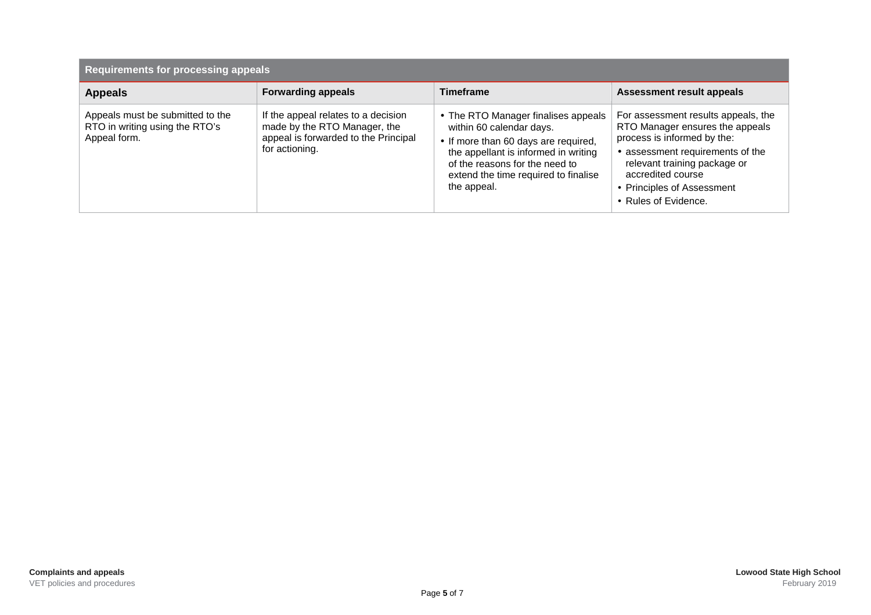| <b>Requirements for processing appeals</b>                                         |                                                                                                                               |                                                                                                                                                                                                                                          |                                                                                                                                                                                                                                                      |
|------------------------------------------------------------------------------------|-------------------------------------------------------------------------------------------------------------------------------|------------------------------------------------------------------------------------------------------------------------------------------------------------------------------------------------------------------------------------------|------------------------------------------------------------------------------------------------------------------------------------------------------------------------------------------------------------------------------------------------------|
| <b>Appeals</b>                                                                     | <b>Forwarding appeals</b>                                                                                                     | <b>Timeframe</b>                                                                                                                                                                                                                         | <b>Assessment result appeals</b>                                                                                                                                                                                                                     |
| Appeals must be submitted to the<br>RTO in writing using the RTO's<br>Appeal form. | If the appeal relates to a decision<br>made by the RTO Manager, the<br>appeal is forwarded to the Principal<br>for actioning. | • The RTO Manager finalises appeals<br>within 60 calendar days.<br>• If more than 60 days are required,<br>the appellant is informed in writing<br>of the reasons for the need to<br>extend the time required to finalise<br>the appeal. | For assessment results appeals, the<br>RTO Manager ensures the appeals<br>process is informed by the:<br>• assessment requirements of the<br>relevant training package or<br>accredited course<br>• Principles of Assessment<br>• Rules of Evidence. |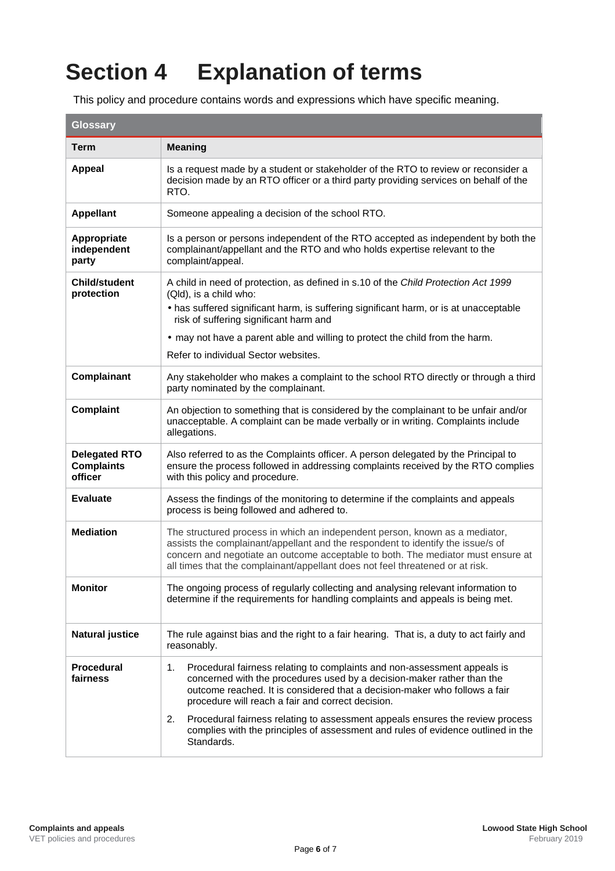## **Section 4 Explanation of terms**

This policy and procedure contains words and expressions which have specific meaning.

| <b>Glossary</b>                                      |                                                                                                                                                                                                                                                                                                                                                                                                                                                                                      |  |  |
|------------------------------------------------------|--------------------------------------------------------------------------------------------------------------------------------------------------------------------------------------------------------------------------------------------------------------------------------------------------------------------------------------------------------------------------------------------------------------------------------------------------------------------------------------|--|--|
| <b>Term</b>                                          | <b>Meaning</b>                                                                                                                                                                                                                                                                                                                                                                                                                                                                       |  |  |
| <b>Appeal</b>                                        | Is a request made by a student or stakeholder of the RTO to review or reconsider a<br>decision made by an RTO officer or a third party providing services on behalf of the<br>RTO.                                                                                                                                                                                                                                                                                                   |  |  |
| <b>Appellant</b>                                     | Someone appealing a decision of the school RTO.                                                                                                                                                                                                                                                                                                                                                                                                                                      |  |  |
| Appropriate<br>independent<br>party                  | Is a person or persons independent of the RTO accepted as independent by both the<br>complainant/appellant and the RTO and who holds expertise relevant to the<br>complaint/appeal.                                                                                                                                                                                                                                                                                                  |  |  |
| <b>Child/student</b><br>protection                   | A child in need of protection, as defined in s.10 of the Child Protection Act 1999<br>(Qld), is a child who:<br>• has suffered significant harm, is suffering significant harm, or is at unacceptable<br>risk of suffering significant harm and<br>• may not have a parent able and willing to protect the child from the harm.<br>Refer to individual Sector websites.                                                                                                              |  |  |
| Complainant                                          | Any stakeholder who makes a complaint to the school RTO directly or through a third<br>party nominated by the complainant.                                                                                                                                                                                                                                                                                                                                                           |  |  |
| <b>Complaint</b>                                     | An objection to something that is considered by the complainant to be unfair and/or<br>unacceptable. A complaint can be made verbally or in writing. Complaints include<br>allegations.                                                                                                                                                                                                                                                                                              |  |  |
| <b>Delegated RTO</b><br><b>Complaints</b><br>officer | Also referred to as the Complaints officer. A person delegated by the Principal to<br>ensure the process followed in addressing complaints received by the RTO complies<br>with this policy and procedure.                                                                                                                                                                                                                                                                           |  |  |
| <b>Evaluate</b>                                      | Assess the findings of the monitoring to determine if the complaints and appeals<br>process is being followed and adhered to.                                                                                                                                                                                                                                                                                                                                                        |  |  |
| <b>Mediation</b>                                     | The structured process in which an independent person, known as a mediator,<br>assists the complainant/appellant and the respondent to identify the issue/s of<br>concern and negotiate an outcome acceptable to both. The mediator must ensure at<br>all times that the complainant/appellant does not feel threatened or at risk.                                                                                                                                                  |  |  |
| <b>Monitor</b>                                       | The ongoing process of regularly collecting and analysing relevant information to<br>determine if the requirements for handling complaints and appeals is being met.                                                                                                                                                                                                                                                                                                                 |  |  |
| <b>Natural justice</b>                               | The rule against bias and the right to a fair hearing. That is, a duty to act fairly and<br>reasonably.                                                                                                                                                                                                                                                                                                                                                                              |  |  |
| <b>Procedural</b><br>fairness                        | Procedural fairness relating to complaints and non-assessment appeals is<br>1.<br>concerned with the procedures used by a decision-maker rather than the<br>outcome reached. It is considered that a decision-maker who follows a fair<br>procedure will reach a fair and correct decision.<br>Procedural fairness relating to assessment appeals ensures the review process<br>2.<br>complies with the principles of assessment and rules of evidence outlined in the<br>Standards. |  |  |